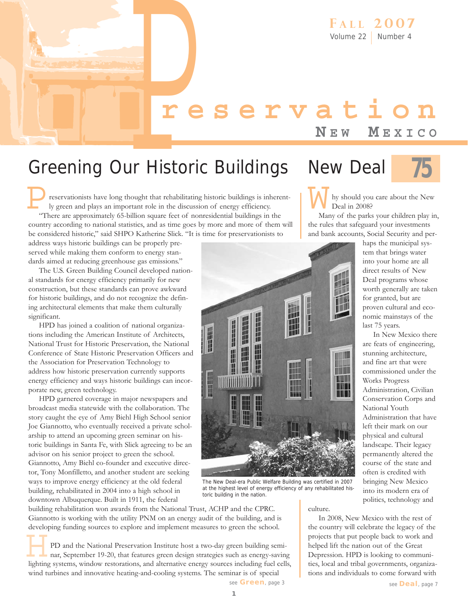# **reservation**<br>
NEW MEXICO<br>
UIT Historic Buildings New Deal 75 **N E W M EXICO**

#### Greening Our Historic Buildings

reservationists have long thought that rehabilitating historic buildings is inherently green and plays an important role in the discussion of energy efficiency. "There are approximately 65-billion square feet of nonresidential buildings in the country according to national statistics, and as time goes by more and more of them will be considered historic," said SHPO Katherine Slick. "It is time for preservationists to P

address ways historic buildings can be properly preserved while making them conform to energy standards aimed at reducing greenhouse gas emissions."

The U.S. Green Building Council developed national standards for energy efficiency primarily for new construction, but these standards can prove awkward for historic buildings, and do not recognize the defining architectural elements that make them culturally significant.

HPD has joined a coalition of national organizations including the American Institute of Architects, National Trust for Historic Preservation, the National Conference of State Historic Preservation Officers and the Association for Preservation Technology to address how historic preservation currently supports energy efficiency and ways historic buildings can incorporate new, green technology.

HPD garnered coverage in major newspapers and broadcast media statewide with the collaboration. The story caught the eye of Amy Biehl High School senior Joe Giannotto, who eventually received a private scholarship to attend an upcoming green seminar on historic buildings in Santa Fe, with Slick agreeing to be an advisor on his senior project to green the school. Giannotto, Amy Biehl co-founder and executive director, Tony Monfilletto, and another student are seeking ways to improve energy efficiency at the old federal building, rehabilitated in 2004 into a high school in downtown Albuquerque. Built in 1911, the federal

building rehabilitation won awards from the National Trust, ACHP and the CPRC. Giannotto is working with the utility PNM on an energy audit of the building, and is developing funding sources to explore and implement measures to green the school.

PD and the National Preservation Institute host a two-day green building seminar, September 19-20, that features green design strategies such as energy-saving developing funding sources to explore and implement measures to green the school.<br>
PD and the National Preservation Institute host a two-day green building semi-<br>
nar, September 19-20, that features green design strategies wind turbines and innovative heating-and-cooling systems. The seminar is of special





hy should you care about the New Deal in 2008? W<sub>War</sub>

Many of the parks your children play in, the rules that safeguard your investments and bank accounts, Social Security and per-

> haps the municipal system that brings water into your home are all direct results of New Deal programs whose worth generally are taken for granted, but are proven cultural and economic mainstays of the last 75 years.

In New Mexico there are feats of engineering, stunning architecture, and fine art that were commissioned under the Works Progress Administration, Civilian Conservation Corps and National Youth Administration that have left their mark on our physical and cultural landscape. Their legacy permanently altered the course of the state and often is credited with bringing New Mexico into its modern era of politics, technology and

 $\frac{\pi}{4}$ **HEER EEERS** 日子 百五日 **HARRY** 訵 m Ĥ inni inn m m

The New Deal-era Public Welfare Building was certified in 2007 at the highest level of energy efficiency of any rehabilitated historic building in the nation.

culture.

In 2008, New Mexico with the rest of the country will celebrate the legacy of the projects that put people back to work and helped lift the nation out of the Great Depression. HPD is looking to communities, local and tribal governments, organizations and individuals to come forward with

**1**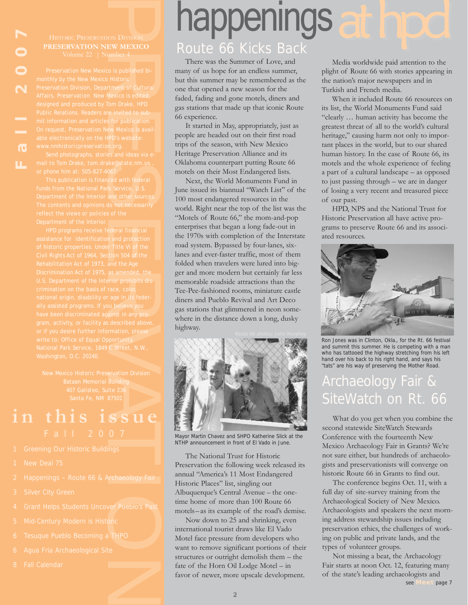**PRESERVATION NEW MEXICO**

ION DIVISION<br>
EW MEXICO<br>
umber 4<br>
co is published bi-<br>
Historic<br>
triment of Cultural<br>
Mexico is edited,<br>
for publication.<br>
For publication.<br>
For publication.<br>
For publication.<br>
PP's website:<br>
m.org.<br>
es and ideas via e-<br>
s

Bataan Memorial Building

### **in this issue**

- 
- 
- 
- 
- 4 Grant Helps Students Uncover Pueblo's Past
- 
- 
- 
- 

## happenings

#### Route 66 Kicks Back

There was the Summer of Love, and many of us hope for an endless summer, but this summer may be remembered as the one that opened a new season for the faded, fading and gone motels, diners and gas stations that made up that iconic Route 66 experience.

It started in May, appropriately, just as people are headed out on their first road trips of the season, with New Mexico Heritage Preservation Alliance and its Oklahoma counterpart putting Route 66 motels on their Most Endangered lists.

Next, the World Monuments Fund in June issued its biannual "Watch List" of the 100 most endangered resources in the world. Right near the top of the list was the "Motels of Route 66," the mom-and-pop enterprises that began a long fade-out in the 1970s with completion of the Interstate road system. Bypassed by four-lanes, sixlanes and ever-faster traffic, most of them folded when travelers were lured into bigger and more modern but certainly far less memorable roadside attractions than the Tee-Pee-fashioned rooms, miniature castle diners and Pueblo Revival and Art Deco gas stations that glimmered in neon somewhere in the distance down a long, dusky highway.



Mayor Martin Chavez and SHPO Katherine Slick at the NTHP announcement in front of El Vado in June.

The National Trust for Historic Preservation the following week released its annual "America's 11 Most Endangered Historic Places" list, singling out Albuquerque's Central Avenue – the onetime home of more than 100 Route 66 motels– as its example of the road's demise.

Now down to 25 and shrinking, even international tourist draws like El Vado Motel face pressure from developers who want to remove significant portions of their structures or outright demolish them – the fate of the Horn Oil Lodge Motel – in favor of newer, more upscale development.

Media worldwide paid attention to the plight of Route 66 with stories appearing in the nation's major newspapers and in Turkish and French media.

When it included Route 66 resources on its list, the World Monuments Fund said "clearly … human activity has become the greatest threat of all to the world's cultural heritage," causing harm not only to important places in the world, but to our shared human history. In the case of Route 66, its motels and the whole experience of feeling a part of a cultural landscape – as opposed to just passing through – we are in danger of losing a very recent and treasured piece of our past.

HPD, NPS and the National Trust for Historic Preservation all have active programs to preserve Route 66 and its associated resources.



Ron Jones was in Clinton, Okla., for the Rt. 66 festival and summit this summer. He is competing with a man who has tattooed the highway stretching from his left hand over his back to his right hand, and says his "tats" are his way of preserving the Mother Road.

#### Archaeology Fair & SiteWatch on Rt. 66

What do you get when you combine the second statewide SiteWatch Stewards Conference with the fourteenth New Mexico Archaeology Fair in Grants? We're not sure either, but hundreds of archaeologists and preservationists will converge on historic Route 66 in Grants to find out.

The conference begins Oct. 11, with a full day of site-survey training from the Archaeological Society of New Mexico. Archaeologists and speakers the next morning address stewardship issues including preservation ethics, the challenges of working on public and private lands, and the types of volunteer groups.

Not missing a beat, the Archaeology Fair starts at noon Oct. 12, featuring many of the state's leading archaeologists and see **Meet** page 7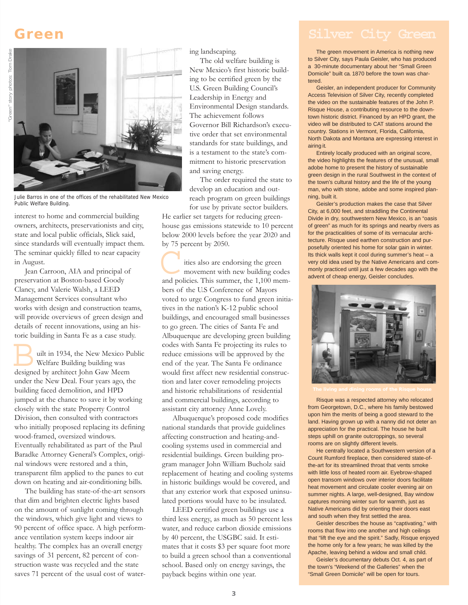#### **Green**



Julie Barros in one of the offices of the rehabilitated New Mexico Public Welfare Building.

interest to home and commercial building owners, architects, preservationists and city, state and local public officials, Slick said, since standards will eventually impact them. The seminar quickly filled to near capacity in August.

Jean Carroon, AIA and principal of preservation at Boston-based Goody Clancy, and Valerie Walsh, a LEED Management Services consultant who works with design and construction teams, will provide overviews of green design and details of recent innovations, using an historic building in Santa Fe as a case study.

uilt in 1934, the New Mexico Public Welfare Building building was Fonding in Santa Te as a case still<br>wilt in 1934, the New Mexico P<br>Welfare Building building was<br>designed by architect John Gaw Meem under the New Deal. Four years ago, the building faced demolition, and HPD jumped at the chance to save it by working closely with the state Property Control Division, then consulted with contractors who initially proposed replacing its defining wood-framed, oversized windows. Eventually rehabilitated as part of the Paul Baradke Attorney General's Complex, original windows were restored and a thin, transparent film applied to the panes to cut down on heating and air-conditioning bills.

The building has state-of-the-art sensors that dim and brighten electric lights based on the amount of sunlight coming through the windows, which give light and views to 90 percent of office space. A high performance ventilation system keeps indoor air healthy. The complex has an overall energy savings of 31 percent, 82 percent of construction waste was recycled and the state saves 71 percent of the usual cost of watering landscaping.

The old welfare building is New Mexico's first historic building to be certified green by the U.S. Green Building Council's Leadership in Energy and Environmental Design standards. The achievement follows Governor Bill Richardson's executive order that set environmental standards for state buildings, and is a testament to the state's commitment to historic preservation and saving energy.

The order required the state to develop an education and outreach program on green buildings for use by private sector builders.

He earlier set targets for reducing greenhouse gas emissions statewide to 10 percent below 2000 levels before the year 2020 and by 75 percent by 2050.

ities also are endorsing the green movement with new building codes by /5 percent by 2050.<br>
ities also are endorsing the green<br>
movement with new building codes<br>
and policies. This summer, the 1,100 members of the U.S Conference of Mayors voted to urge Congress to fund green initiatives in the nation's K-12 public school buildings, and encouraged small businesses to go green. The cities of Santa Fe and Albuquerque are developing green building codes with Santa Fe projecting its rules to reduce emissions will be approved by the end of the year. The Santa Fe ordinance would first affect new residential construction and later cover remodeling projects and historic rehabilitations of residential and commercial buildings, according to assistant city attorney Anne Lovely.

Albuquerque's proposed code modifies national standards that provide guidelines affecting construction and heating-andcooling systems used in commercial and residential buildings. Green building program manager John William Bucholz said replacement of heating and cooling systems in historic buildings would be covered, and that any exterior work that exposed uninsulated portions would have to be insulated.

LEED certified green buildings use a third less energy, as much as 50 percent less water, and reduce carbon dioxide emissions by 40 percent, the USGBC said. It estimates that it costs \$3 per square foot more to build a green school than a conventional school. Based only on energy savings, the payback begins within one year.

The green movement in America is nothing new to Silver City, says Paula Geisler, who has produced a 30-minute documentary about her "Small Green Domicile" built ca. 1870 before the town was chartered.

Geisler, an independent producer for Community Access Television of Silver City, recently completed the video on the sustainable features of the John P. Risque House, a contributing resource to the downtown historic district. Financed by an HPD grant, the video will be distributed to CAT stations around the country. Stations in Vermont, Florida, California, North Dakota and Montana are expressing interest in airing it.

Entirely locally produced with an original score, the video highlights the features of the unusual, small adobe home to present the history of sustainable green design in the rural Southwest in the context of the town's cultural history and the life of the young man, who with stone, adobe and some inspired planning, built it.

Geisler's production makes the case that Silver City, at 6,000 feet, and straddling the Continental Divide in dry, southwestern New Mexico, is an "oasis of green" as much for its springs and nearby rivers as for the practicalities of some of its vernacular architecture. Risque used earthen construction and purposefully oriented his home for solar gain in winter. Its thick walls kept it cool during summer's heat – a very old idea used by the Native Americans and commonly practiced until just a few decades ago with the advent of cheap energy, Geisler concludes.



Risque was a respected attorney who relocated from Georgetown, D.C., where his family bestowed upon him the merits of being a good steward to the land. Having grown up with a nanny did not deter an appreciation for the practical. The house he built steps uphill on granite outcroppings, so several rooms are on slightly different levels.

He centrally located a Southwestern version of a Count Rumford fireplace, then considered state-ofthe-art for its streamlined throat that vents smoke with little loss of heated room air. Eyebrow-shaped open transom windows over interior doors facilitate heat movement and circulate cooler evening air on summer nights. A large, well-designed, Bay window captures morning winter sun for warmth, just as Native Americans did by orienting their doors east and south when they first settled the area.

Geisler describes the house as "captivating," with rooms that flow into one another and high ceilings that "lift the eye and the spirit." Sadly, Risque enjoyed the home only for a few years; he was killed by the Apache, leaving behind a widow and small child.

Geisler's documentary debuts Oct. 4, as part of the town's "Weekend of the Galleries" when the "Small Green Domicile" will be open for tours.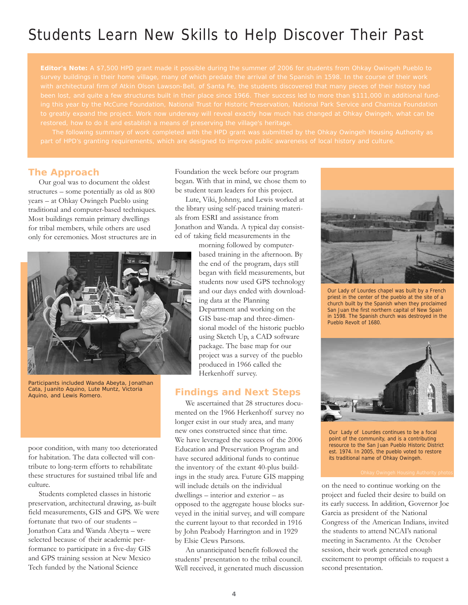#### Students Learn New Skills to Help Discover Their Past

**Editor's Note:** A \$7,500 HPD grant made it possible during the summer of 2006 for students from Ohkay Owingeh Pueblo to

#### **The Approach**

Our goal was to document the oldest structures – some potentially as old as 800 years – at Ohkay Owingeh Pueblo using traditional and computer-based techniques. Most buildings remain primary dwellings for tribal members, while others are used only for ceremonies. Most structures are in



Participants included Wanda Abeyta, Jonathan Cata, Juanito Aquino, Lute Muntz, Victoria Aquino, and Lewis Romero.

poor condition, with many too deteriorated for habitation. The data collected will contribute to long-term efforts to rehabilitate these structures for sustained tribal life and culture.

Students completed classes in historic preservation, architectural drawing, as-built field measurements, GIS and GPS. We were fortunate that two of our students – Jonathon Cata and Wanda Abeyta – were selected because of their academic performance to participate in a five-day GIS and GPS training session at New Mexico Tech funded by the National Science

Foundation the week before our program began. With that in mind, we chose them to be student team leaders for this project.

Lute, Viki, Johnny, and Lewis worked at the library using self-paced training materials from ESRI and assistance from Jonathon and Wanda. A typical day consisted of taking field measurements in the

morning followed by computerbased training in the afternoon. By the end of the program, days still began with field measurements, but students now used GPS technology and our days ended with downloading data at the Planning Department and working on the GIS base-map and three-dimensional model of the historic pueblo using Sketch Up, a CAD software package. The base map for our project was a survey of the pueblo produced in 1966 called the Herkenhoff survey.

#### **Findings and Next Steps**

We ascertained that 28 structures documented on the 1966 Herkenhoff survey no longer exist in our study area, and many new ones constructed since that time. We have leveraged the success of the 2006 Education and Preservation Program and have secured additional funds to continue the inventory of the extant 40-plus buildings in the study area. Future GIS mapping will include details on the individual dwellings – interior and exterior – as opposed to the aggregate house blocks surveyed in the initial survey, and will compare the current layout to that recorded in 1916 by John Peabody Harrington and in 1929 by Elsie Clews Parsons.

An unanticipated benefit followed the students' presentation to the tribal council. Well received, it generated much discussion



Our Lady of Lourdes chapel was built by a French priest in the center of the pueblo at the site of a church built by the Spanish when they proclaimed San Juan the first northern capital of New Spain in 1598. The Spanish church was destroyed in the Pueblo Revolt of 1680.



Our Lady of Lourdes continues to be a focal point of the community, and is a contributing resource to the San Juan Pueblo Historic District est. 1974. In 2005, the pueblo voted to restore its traditional name of Ohkay Owingeh.

on the need to continue working on the project and fueled their desire to build on its early success. In addition, Governor Joe Garcia as president of the National Congress of the American Indians, invited the students to attend NCAI's national meeting in Sacramento. At the October session, their work generated enough excitement to prompt officials to request a second presentation.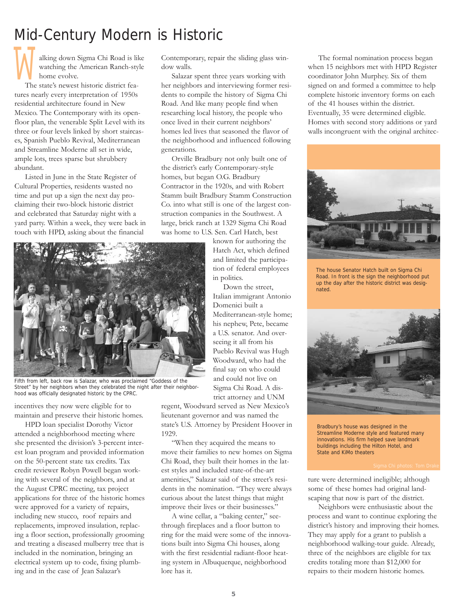#### Mid-Century Modern is Historic

alking down Sigma Chi Road is like watching the American Ranch-style home evolve. **M** 

The state's newest historic district features nearly every interpretation of 1950s residential architecture found in New Mexico. The Contemporary with its openfloor plan, the venerable Split Level with its three or four levels linked by short staircases, Spanish Pueblo Revival, Mediterranean and Streamline Moderne all set in wide, ample lots, trees sparse but shrubbery abundant.

Listed in June in the State Register of Cultural Properties, residents wasted no time and put up a sign the next day proclaiming their two-block historic district and celebrated that Saturday night with a yard party. Within a week, they were back in touch with HPD, asking about the financial



Fifth from left, back row is Salazar, who was proclaimed "Goddess of the Street" by her neighbors when they celebrated the night after their neighborhood was officially designated historic by the CPRC.

incentives they now were eligible for to maintain and preserve their historic homes.

HPD loan specialist Dorothy Victor attended a neighborhood meeting where she presented the division's 3-percent interest loan program and provided information on the 50-percent state tax credits. Tax credit reviewer Robyn Powell began working with several of the neighbors, and at the August CPRC meeting, tax project applications for three of the historic homes were approved for a variety of repairs, including new stucco, roof repairs and replacements, improved insulation, replacing a floor section, professionally grooming and treating a diseased mulberry tree that is included in the nomination, bringing an electrical system up to code, fixing plumbing and in the case of Jean Salazar's

Contemporary, repair the sliding glass window walls.

Salazar spent three years working with her neighbors and interviewing former residents to compile the history of Sigma Chi Road. And like many people find when researching local history, the people who once lived in their current neighbors' homes led lives that seasoned the flavor of the neighborhood and influenced following generations.

Orville Bradbury not only built one of the district's early Contemporary-style homes, but began O.G. Bradbury Contractor in the 1920s, and with Robert Stamm built Bradbury Stamm Construction Co. into what still is one of the largest construction companies in the Southwest. A large, brick ranch at 1329 Sigma Chi Road was home to U.S. Sen. Carl Hatch, best

> known for authoring the Hatch Act, which defined and limited the participation of federal employees in politics.

Down the street, Italian immigrant Antonio Domenici built a Mediterranean-style home; his nephew, Pete, became a U.S. senator. And overseeing it all from his Pueblo Revival was Hugh Woodward, who had the final say on who could and could not live on Sigma Chi Road. A district attorney and UNM

regent, Woodward served as New Mexico's lieutenant governor and was named the state's U.S. Attorney by President Hoover in 1929.

"When they acquired the means to move their families to new homes on Sigma Chi Road, they built their homes in the latest styles and included state-of-the-art amenities," Salazar said of the street's residents in the nomination. "They were always curious about the latest things that might improve their lives or their businesses."

A wine cellar, a "baking center," seethrough fireplaces and a floor button to ring for the maid were some of the innovations built into Sigma Chi houses, along with the first residential radiant-floor heating system in Albuquerque, neighborhood lore has it.

The formal nomination process began when 15 neighbors met with HPD Register coordinator John Murphey. Six of them signed on and formed a committee to help complete historic inventory forms on each of the 41 houses within the district. Eventually, 35 were determined eligible. Homes with second story additions or yard walls incongruent with the original architec-



The house Senator Hatch built on Sigma Chi Road. In front is the sign the neighborhood put up the day after the historic district was designated.



Bradbury's house was designed in the Streamline Moderne style and featured many innovations. His firm helped save landmark buildings including the Hilton Hotel, and State and KiMo theaters

ture were determined ineligible; although some of these homes had original landscaping that now is part of the district.

Neighbors were enthusiastic about the process and want to continue exploring the district's history and improving their homes. They may apply for a grant to publish a neighborhood walking-tour guide. Already, three of the neighbors are eligible for tax credits totaling more than \$12,000 for repairs to their modern historic homes.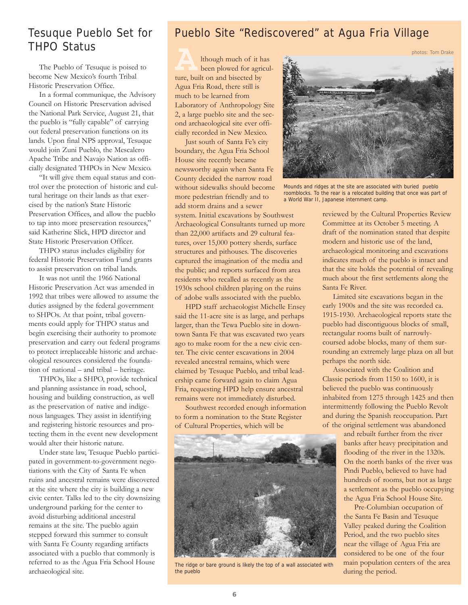#### Tesuque Pueblo Set for THPO Status

The Pueblo of Tesuque is poised to become New Mexico's fourth Tribal Historic Preservation Office.

In a formal communique, the Advisory Council on Historic Preservation advised the National Park Service, August 21, that the pueblo is "fully capable" of carrying out federal preservation functions on its lands. Upon final NPS approval, Tesuque would join Zuni Pueblo, the Mescalero Apache Tribe and Navajo Nation as officially designated THPOs in New Mexico.

"It will give them equal status and control over the protection of historic and cultural heritage on their lands as that exercised by the nation's State Historic Preservation Offices, and allow the pueblo to tap into more preservation resources," said Katherine Slick, HPD director and State Historic Preservation Officer.

THPO status includes eligibility for federal Historic Preservation Fund grants to assist preservation on tribal lands.

It was not until the 1966 National Historic Preservation Act was amended in 1992 that tribes were allowed to assume the duties assigned by the federal government to SHPOs. At that point, tribal governments could apply for THPO status and begin exercising their authority to promote preservation and carry out federal programs to protect irreplaceable historic and archaeological resources considered the foundation of national – and tribal – heritage.

THPOs, like a SHPO, provide technical and planning assistance in road, school, housing and building construction, as well as the preservation of native and indigenous languages. They assist in identifying and registering historic resources and protecting them in the event new development would alter their historic nature.

Under state law, Tesuque Pueblo participated in government-to-government negotiations with the City of Santa Fe when ruins and ancestral remains were discovered at the site where the city is building a new civic center. Talks led to the city downsizing underground parking for the center to avoid disturbing additional ancestral remains at the site. The pueblo again stepped forward this summer to consult with Santa Fe County regarding artifacts associated with a pueblo that commonly is referred to as the Agua Fria School House archaeological site.

#### Pueblo Site "Rediscovered" at Agua Fria Village

lthough much of it has been plowed for agricul-**A**<br>Ithough much of it is<br>been plowed for agriture, built on and bisected by Agua Fria Road, there still is much to be learned from Laboratory of Anthropology Site 2, a large pueblo site and the second archaeological site ever officially recorded in New Mexico.

Just south of Santa Fe's city boundary, the Agua Fria School House site recently became newsworthy again when Santa Fe County decided the narrow road without sidewalks should become more pedestrian friendly and to add storm drains and a sewer

system. Initial excavations by Southwest Archaeological Consultants turned up more than 22,000 artifacts and 29 cultural features, over 15,000 pottery sherds, surface structures and pithouses. The discoveries captured the imagination of the media and the public; and reports surfaced from area residents who recalled as recently as the 1930s school children playing on the ruins of adobe walls associated with the pueblo.

HPD staff archaeologist Michelle Ensey said the 11-acre site is as large, and perhaps larger, than the Tewa Pueblo site in downtown Santa Fe that was excavated two years ago to make room for the a new civic center. The civic center excavations in 2004 revealed ancestral remains, which were claimed by Tesuque Pueblo, and tribal leadership came forward again to claim Agua Fria, requesting HPD help ensure ancestral remains were not immediately disturbed.

Southwest recorded enough information to form a nomination to the State Register of Cultural Properties, which will be



The ridge or bare ground is likely the top of a wall associated with the pueblo



Mounds and ridges at the site are associated with buried pueblo roomblocks. To the rear is a relocated building that once was part of a World War II, Japanese internment camp.

reviewed by the Cultural Properties Review Committee at its October 5 meeting. A draft of the nomination stated that despite modern and historic use of the land, archaeological monitoring and excavations indicates much of the pueblo is intact and that the site holds the potential of revealing much about the first settlements along the Santa Fe River.

Limited site excavations began in the early 1900s and the site was recorded ca. 1915-1930. Archaeological reports state the pueblo had discontiguous blocks of small, rectangular rooms built of narrowlycoursed adobe blocks, many of them surrounding an extremely large plaza on all but perhaps the north side.

Associated with the Coalition and Classic periods from 1150 to 1600, it is believed the pueblo was continuously inhabited from 1275 through 1425 and then intermittently following the Pueblo Revolt and during the Spanish reoccupation. Part of the original settlement was abandoned

> and rebuilt further from the river banks after heavy precipitation and flooding of the river in the 1320s. On the north banks of the river was Pindi Pueblo, believed to have had hundreds of rooms, but not as large a settlement as the pueblo occupying the Agua Fria School House Site.

Pre-Columbian occupation of the Santa Fe Basin and Tesuque Valley peaked during the Coalition Period, and the two pueblo sites near the village of Agua Fria are considered to be one of the four main population centers of the area during the period.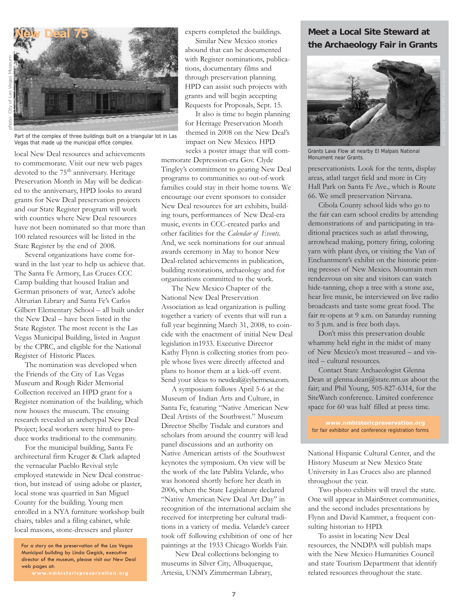

Part of the complex of three buildings built on a triangular lot in Las Vegas that made up the municipal office complex.

local New Deal resources and achievements to commemorate. Visit our new web pages devoted to the 75<sup>th</sup> anniversary. Heritage Preservation Month in May will be dedicated to the anniversary, HPD looks to award grants for New Deal preservation projects and our State Register program will work with counties where New Deal resources have not been nominated so that more than 100 related resources will be listed in the State Register by the end of 2008.

Several organizations have come forward in the last year to help us achieve that. The Santa Fe Armory, Las Cruces CCC Camp building that housed Italian and German prisoners of war, Aztec's adobe Altrurian Library and Santa Fe's Carlos Gilbert Elementary School – all built under the New Deal – have been listed in the State Register. The most recent is the Las Vegas Municipal Building, listed in August by the CPRC, and eligible for the National Register of Historic Places.

The nomination was developed when the Friends of the City of Las Vegas Museum and Rough Rider Memorial Collection received an HPD grant for a Register nomination of the building, which now houses the museum. The ensuing research revealed an archetypal New Deal Project; local workers were hired to produce works traditional to the community.

For the municipal building, Santa Fe architectural firm Kruger & Clark adapted the vernacular Pueblo Revival style employed statewide in New Deal construction, but instead of using adobe or plaster, local stone was quarried in San Miguel County for the building. Young men enrolled in a NYA furniture workshop built chairs, tables and a filing cabinet, while local masons, stone-dressers and plaster

For a story on the preservation of the Las Vegas Municipal building by Linda Gegick, executive director of the museum, please visit our New Deal web pages at:

experts completed the buildings.

Similar New Mexico stories abound that can be documented with Register nominations, publications, documentary films and through preservation planning. HPD can assist such projects with grants and will begin accepting Requests for Proposals, Sept. 15.

It also is time to begin planning for Heritage Preservation Month themed in 2008 on the New Deal's impact on New Mexico. HPD seeks a poster image that will com-

memorate Depression-era Gov. Clyde Tingley's commitment to gearing New Deal programs to communities so out-of-work families could stay in their home towns. We encourage our event sponsors to consider New Deal resources for art exhibits, building tours, performances of New Deal-era music, events in CCC-created parks and other facilities for the *Calendar of Events*. And, we seek nominations for our annual awards ceremony in May to honor New Deal-related achievements in publication, building restorations, archaeology and for organizations committed to the work.

The New Mexico Chapter of the National New Deal Preservation Association as lead organization is pulling together a variety of events that will run a full year beginning March 31, 2008, to coincide with the enactment of initial New Deal legislation in1933. Executive Director Kathy Flynn is collecting stories from people whose lives were directly affected and plans to honor them at a kick-off event. Send your ideas to newdeal@cybermesa.com.

A symposium follows April 5-6 at the Museum of Indian Arts and Culture, in Santa Fe, featuring "Native American New Deal Artists of the Southwest." Museum Director Shelby Tisdale and curators and scholars from around the country will lead panel discussions and an authority on Native American artists of the Southwest keynotes the symposium. On view will be the work of the late Pablita Velarde, who was honored shortly before her death in 2006, when the State Legislature declared "Native American New Deal Art Day" in recognition of the international acclaim she received for interpreting her cultural traditions in a variety of media. Velarde's career took off following exhibition of one of her paintings at the 1933 Chicago Worlds Fair.

New Deal collections belonging to museums in Silver City, Albuquerque, Artesia, UNM's Zimmerman Library,

#### **Meet a Local Site Steward at the Archaeology Fair in Grants**



Grants Lava Flow at nearby El Malpais National Monument near Grants.

preservationists. Look for the tents, display areas, atlatl target field and more in City Hall Park on Santa Fe Ave., which is Route 66. We smell preservation Nirvana.

Cibola County school kids who go to the fair can earn school credits by attending demonstrations of and participating in traditional practices such as atlatl throwing, arrowhead making, pottery firing, coloring yarn with plant dyes, or visiting the Van of Enchantment's exhibit on the historic printing presses of New Mexico. Mountain men rendezvous on site and visitors can watch hide-tanning, chop a tree with a stone axe, hear live music, be interviewed on live radio broadcasts and taste some great food. The fair re-opens at 9 a.m. on Saturday running to 5 p.m. and is free both days.

Don't miss this preservation double whammy held right in the midst of many of New Mexico's most treasured – and visited – cultural resources.

Contact State Archaeologist Glenna Dean at glenna.dean@state.nm.us about the fair; and Phil Young, 505-827-6314, for the SiteWatch conference. Limited conference space for 60 was half filled at press time.

**www.nmhistoricpreservation.org** for fair exhibitor and conference registration forms

National Hispanic Cultural Center, and the History Museum at New Mexico State University in Las Cruces also are planned throughout the year.

Two photo exhibits will travel the state. One will appear in MainStreet communities, and the second includes presentations by Flynn and David Kammer, a frequent consulting historian to HPD.

To assist in locating New Deal resources, the NNDPA will publish maps with the New Mexico Humanities Council and state Tourism Department that identify related resources throughout the state.